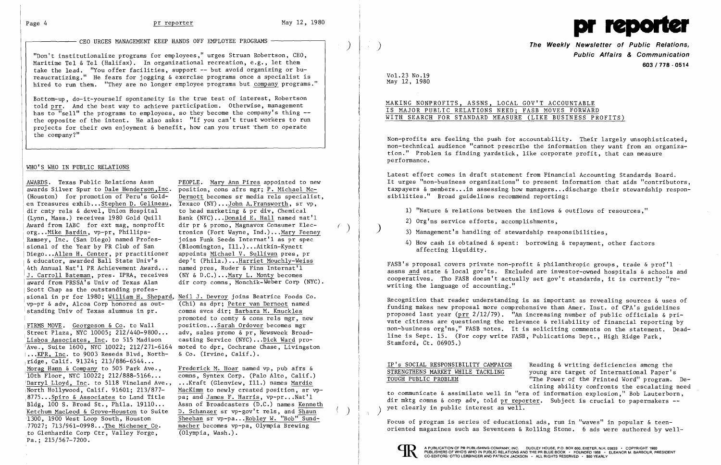"Don't institutionalize programs for employees," urges Struan Robertson, CEO, Maritime Tel & Tel (Halifax). In organizational recreation, e.g., let them  $\qquad$  **603/778 - 0514** take the lead. "You offer facilities, support -- but avoid organizing or bu reaucratizing." He fears for jogging & exercise programs once a specialist is<br>hired to run them. "They are no longer employee programs but company programs."



CEO URGES MANAGEMENT KEEP HANDS OFF EMPLOYEE PROGRAMS I ) **The Weekly Newsletter of Public Relations,** )

Latest effort comes in draft statement from Financial Accounting Standards Board. AWARDS. Texas Public Relations Assn PEOPLE. Mary Ann Pires appointed to new It urges "non-business organizations" to present information that aids "contributors, awards Silver Spur to Dale Henderson,Inc. position, cons afr awards Silver Spur to Dale Henderson,Inc. position, cons afrs mgr; P. Michael Mc-<br>(Houston) for promotion of Peru's Gold- Dermott becomes sr media rels specialist, in sibilities." Broad guidelines recommend reporting:

- 
- 
- 
- 

x equestor, awarded bail state UHIV state of the contract inductly-welss.<br>4th Annual Nat'l PR Achievement Award... named pres, Ruder & Finn Internat'l state a local gov'ts. Excluded are investor-owned hospitals & schools a and from PRSSA's Univ of Texas Alan dir corp comms, Monchik-Weber Corp (NYC).<br>award from PRSSA's Univ of Texas Alan dir corp comms, Monchik-Weber Corp (NYC).

Recognition that reader understanding is as important as revealing sources  $\&$  uses of funding makes new proposal more comprehensive than Amer. Inst. of CPA's guidelines vp-pr & adv, Alcoa Corp honored as out-<br>standing Univ of Texas alumnus in pr.<br>standing Univ of Texas alumnus in pr.<br>standing Univ of Texas alumnus in pr.<br>FIRMS MOVE. Georgeson & Co. to Wall position...Sarah Ordover becomes

order (2011) Figure 11, 91324; 213/886-6544...<br>
<u>Morag Ham & Company</u> to Company to 505 Park Ave., Frederick M. Hoar named vp, pub afrs &<br>
<u>Morag Ham & Company to Company order is and the</u> social states of international P



Bottom-up, do-it-yourself spontaneity is the true test of interest, Robertson told prr. And the best way to achieve participation. Otherwise, management<br>has to "sell" the programs to employees, so they become the company's thing --<br>the opposite of the intent. He also asks: "If you can't trust worker projects for their own enjoyment & benefit, how can you trust them to operate the company?"

 Non-profits are feeling the push for accountability. Their largely unsophisticated, non-technical audience "cannot prescribe the information they want from an organization." Problem is finding yardstick, like corporate profit, that can measure performance.

## WHO'S WHO IN PUBLIC RELATIONS

en Treasures exhib...Stephen D. Gelineau, Texaco (NY)...John A.Fransworth, sr v<br>dir cmty rels & devel. Union Hospital to head marketing & pr div. Chemical (Lynn, Mass.) receives 1980 Gold Quill Bank (NYC)... Donald E. Hall named nat'l<br>Award from IABC for ext mag, nonprofit dir pr & promo, Magnavox Consumer Elec-Ramsey, Inc. (San Diego) named Profes- joins Funk Seeds Internat'l as pr spec<br>sional of the Year by PR Club of San (Bloomington, Ill.)...Aitkin-Kynett org...Mike Bardin, vp-pr, Phillips-<br>
tronics (Fort Wayne, Ind.)...Mary Feeney Scott Chap as the outstanding professional in pr for 1980; William H. Shepard, Neil J. Devroy joins Beatrice Foods Co.<br>vp-pr & adv. Alcoa Corp honored as out- (Chi) as dpr: Peter van Dernoot named

••.KPR, Inc. to 9003 Reseda Blvd, North & Co. (Irvine, Calif.) .  $Pa.: 215/567-7200.$ 

Dermott becomes sr media rels specialist,<br>Texaco (NY)...John A.Fransworth, sr vp, dir cmty rels & devel, Union Hospital to head marketing & pr div, Chemical 1) "Nature & relations between the inflows & outflows of resources,"<br>(Lynn, Mass.) receives 1980 Gold Ouill Bank (NYC)...Donald E. Hall named nat'l 2) Org'ns service efforts, accomplishments, Award from IABC for ext mag, nonprofit dir pr &promo, Magnavox Consumer Elec ( ) ) 3) Management's handling of stewardship responsibilities, xamsey, Inc. (San Diego) named Proies-<br>sional of the Year by PR Club of San (Bloomington, Ill.)...Aitkin-Kynett<br>Diego...Allen H. Center, pr practitioner appoints <u>Michael V. Sullivan</u> pres, pr<br>& educator, awarded Ball Stat

etchum MacLeod & Grove-Houston to Suite<br>
1300, 1900 West Loop South, Houston Sheehan sr vp-pa...Robley W. "Bob" Sund-<br>
1300, 1900 West Loop South, Houston Sheehan sr vp-pa...Robley W. "Bob" Sund-<br>
17027; 713/961-0998...The

Vol. 23 No. 19<br>May 12, 1980